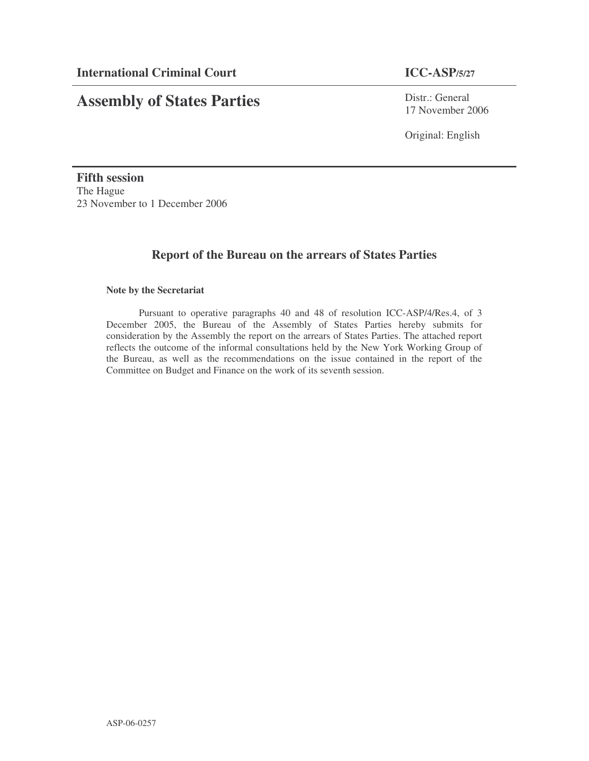# **Assembly of States Parties**

Distr.: General 17 November 2006

Original: English

**Fifth session** The Hague 23 November to 1 December 2006

# **Report of the Bureau on the arrears of States Parties**

## **Note by the Secretariat**

Pursuant to operative paragraphs 40 and 48 of resolution ICC-ASP/4/Res.4, of 3 December 2005, the Bureau of the Assembly of States Parties hereby submits for consideration by the Assembly the report on the arrears of States Parties. The attached report reflects the outcome of the informal consultations held by the New York Working Group of the Bureau, as well as the recommendations on the issue contained in the report of the Committee on Budget and Finance on the work of its seventh session.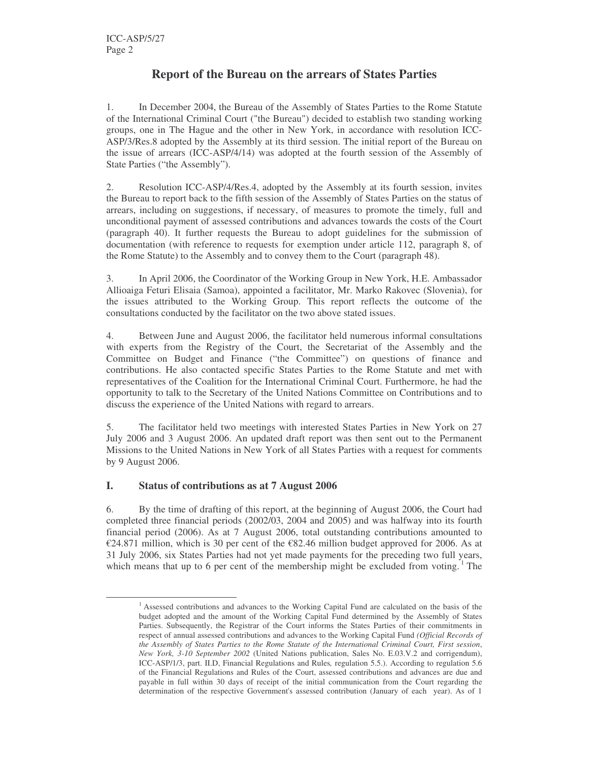# **Report of the Bureau on the arrears of States Parties**

1. In December 2004, the Bureau of the Assembly of States Parties to the Rome Statute of the International Criminal Court ("the Bureau") decided to establish two standing working groups, one in The Hague and the other in New York, in accordance with resolution ICC-ASP/3/Res.8 adopted by the Assembly at its third session. The initial report of the Bureau on the issue of arrears (ICC-ASP/4/14) was adopted at the fourth session of the Assembly of State Parties ("the Assembly").

2. Resolution ICC-ASP/4/Res.4, adopted by the Assembly at its fourth session, invites the Bureau to report back to the fifth session of the Assembly of States Parties on the status of arrears, including on suggestions, if necessary, of measures to promote the timely, full and unconditional payment of assessed contributions and advances towards the costs of the Court (paragraph 40). It further requests the Bureau to adopt guidelines for the submission of documentation (with reference to requests for exemption under article 112, paragraph 8, of the Rome Statute) to the Assembly and to convey them to the Court (paragraph 48).

3. In April 2006, the Coordinator of the Working Group in New York, H.E. Ambassador Allioaiga Feturi Elisaia (Samoa), appointed a facilitator, Mr. Marko Rakovec (Slovenia), for the issues attributed to the Working Group. This report reflects the outcome of the consultations conducted by the facilitator on the two above stated issues.

4. Between June and August 2006, the facilitator held numerous informal consultations with experts from the Registry of the Court, the Secretariat of the Assembly and the Committee on Budget and Finance ("the Committee") on questions of finance and contributions. He also contacted specific States Parties to the Rome Statute and met with representatives of the Coalition for the International Criminal Court. Furthermore, he had the opportunity to talk to the Secretary of the United Nations Committee on Contributions and to discuss the experience of the United Nations with regard to arrears.

5. The facilitator held two meetings with interested States Parties in New York on 27 July 2006 and 3 August 2006. An updated draft report was then sent out to the Permanent Missions to the United Nations in New York of all States Parties with a request for comments by 9 August 2006.

# **I. Status of contributions as at 7 August 2006**

6. By the time of drafting of this report, at the beginning of August 2006, the Court had completed three financial periods (2002/03, 2004 and 2005) and was halfway into its fourth financial period (2006). As at 7 August 2006, total outstanding contributions amounted to €24.871 million, which is 30 per cent of the €82.46 million budget approved for 2006. As at 31 July 2006, six States Parties had not yet made payments for the preceding two full years, which means that up to 6 per cent of the membership might be excluded from voting.<sup>1</sup> The

<sup>&</sup>lt;sup>1</sup> Assessed contributions and advances to the Working Capital Fund are calculated on the basis of the budget adopted and the amount of the Working Capital Fund determined by the Assembly of States Parties. Subsequently, the Registrar of the Court informs the States Parties of their commitments in respect of annual assessed contributions and advances to the Working Capital Fund *(Official Records of the Assembly of States Parties to the Rome Statute of the International Criminal Court, First session*, *New York, 3-10 September 2002* (United Nations publication, Sales No. E.03.V.2 and corrigendum), ICC-ASP/1/3, part. II.D, Financial Regulations and Rules*,* regulation 5.5.). According to regulation 5.6 of the Financial Regulations and Rules of the Court, assessed contributions and advances are due and payable in full within 30 days of receipt of the initial communication from the Court regarding the determination of the respective Government's assessed contribution (January of each year). As of 1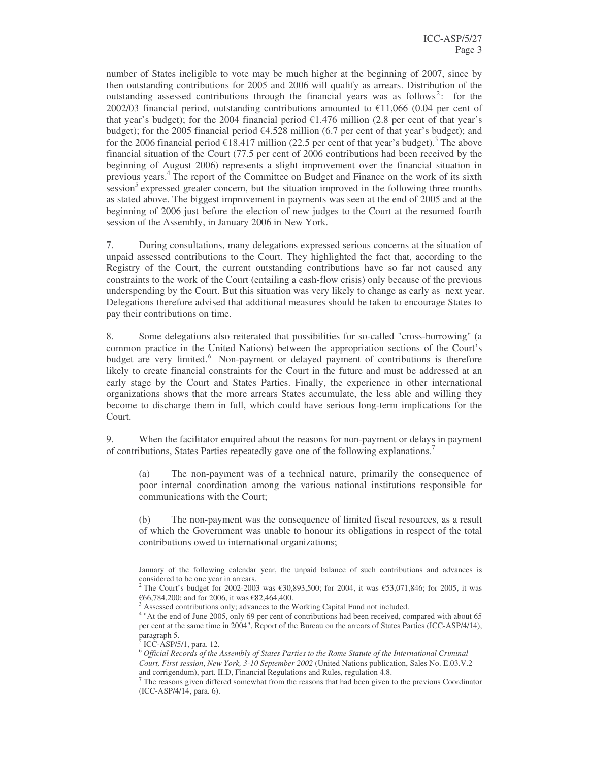number of States ineligible to vote may be much higher at the beginning of 2007, since by then outstanding contributions for 2005 and 2006 will qualify as arrears. Distribution of the outstanding assessed contributions through the financial years was as follows<sup>2</sup>: for the 2002/03 financial period, outstanding contributions amounted to  $\epsilon$ 11,066 (0.04 per cent of that year's budget); for the 2004 financial period  $\epsilon$ 1.476 million (2.8 per cent of that year's budget); for the 2005 financial period  $\epsilon$ 4.528 million (6.7 per cent of that year's budget); and for the 2006 financial period  $\epsilon$ 18.417 million (22.5 per cent of that year's budget).<sup>3</sup> The above financial situation of the Court (77.5 per cent of 2006 contributions had been received by the beginning of August 2006) represents a slight improvement over the financial situation in previous years. <sup>4</sup> The report of the Committee on Budget and Finance on the work of its sixth session<sup>5</sup> expressed greater concern, but the situation improved in the following three months as stated above. The biggest improvement in payments was seen at the end of 2005 and at the beginning of 2006 just before the election of new judges to the Court at the resumed fourth session of the Assembly, in January 2006 in New York.

7. During consultations, many delegations expressed serious concerns at the situation of unpaid assessed contributions to the Court. They highlighted the fact that, according to the Registry of the Court, the current outstanding contributions have so far not caused any constraints to the work of the Court (entailing a cash-flow crisis) only because of the previous underspending by the Court. But this situation was very likely to change as early as next year. Delegations therefore advised that additional measures should be taken to encourage States to pay their contributions on time.

8. Some delegations also reiterated that possibilities for so-called "cross-borrowing" (a common practice in the United Nations) between the appropriation sections of the Court's budget are very limited.<sup>6</sup> Non-payment or delayed payment of contributions is therefore likely to create financial constraints for the Court in the future and must be addressed at an early stage by the Court and States Parties. Finally, the experience in other international organizations shows that the more arrears States accumulate, the less able and willing they become to discharge them in full, which could have serious long-term implications for the Court.

9. When the facilitator enquired about the reasons for non-payment or delays in payment of contributions, States Parties repeatedly gave one of the following explanations.<sup>7</sup>

(a) The non-payment was of a technical nature, primarily the consequence of poor internal coordination among the various national institutions responsible for communications with the Court;

(b) The non-payment was the consequence of limited fiscal resources, as a result of which the Government was unable to honour its obligations in respect of the total contributions owed to international organizations;

January of the following calendar year, the unpaid balance of such contributions and advances is considered to be one year in arrears.

<sup>&</sup>lt;sup>2</sup> The Court's budget for 2002-2003 was €30,893,500; for 2004, it was €53,071,846; for 2005, it was €66,784,200; and for 2006, it was €82,464,400.

 $3$  Assessed contributions only; advances to the Working Capital Fund not included.

<sup>&</sup>lt;sup>4</sup> "At the end of June 2005, only 69 per cent of contributions had been received, compared with about 65 per cent at the same time in 2004", Report of the Bureau on the arrears of States Parties (ICC-ASP/4/14), paragraph 5.<br><sup>5</sup> ICC ASD/5

ICC-ASP/5/1, para. 12.

<sup>6</sup> *Official Records of the Assembly of States Parties to the Rome Statute of the International Criminal Court, First session*, *New York, 3-10 September 2002* (United Nations publication, Sales No. E.03.V.2 and corrigendum), part. II.D, Financial Regulations and Rules*,* regulation 4.8.

<sup>7</sup> The reasons given differed somewhat from the reasons that had been given to the previous Coordinator (ICC-ASP/4/14, para. 6).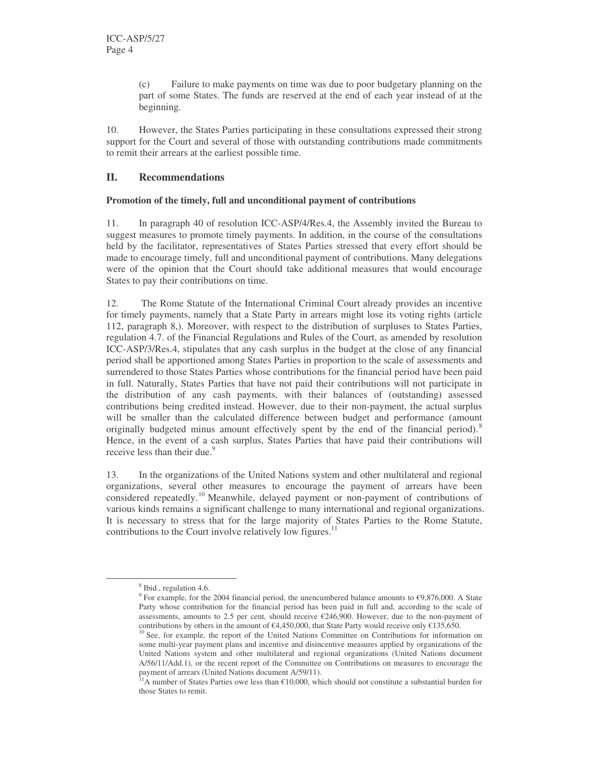(c) Failure to make payments on time was due to poor budgetary planning on the part of some States. The funds are reserved at the end of each year instead of at the beginning.

10. However, the States Parties participating in these consultations expressed their strong support for the Court and several of those with outstanding contributions made commitments to remit their arrears at the earliest possible time.

# **II. Recommendations**

### **Promotion of the timely, full and unconditional payment of contributions**

11. In paragraph 40 of resolution ICC-ASP/4/Res.4, the Assembly invited the Bureau to suggest measures to promote timely payments. In addition, in the course of the consultations held by the facilitator, representatives of States Parties stressed that every effort should be made to encourage timely, full and unconditional payment of contributions. Many delegations were of the opinion that the Court should take additional measures that would encourage States to pay their contributions on time.

12. The Rome Statute of the International Criminal Court already provides an incentive for timely payments, namely that a State Party in arrears might lose its voting rights (article 112, paragraph 8,). Moreover, with respect to the distribution of surpluses to States Parties, regulation 4.7. of the Financial Regulations and Rules of the Court, as amended by resolution ICC-ASP/3/Res.4, stipulates that any cash surplus in the budget at the close of any financial period shall be apportioned among States Parties in proportion to the scale of assessments and surrendered to those States Parties whose contributions for the financial period have been paid in full. Naturally, States Parties that have not paid their contributions will not participate in the distribution of any cash payments, with their balances of (outstanding) assessed contributions being credited instead. However, due to their non-payment, the actual surplus will be smaller than the calculated difference between budget and performance (amount originally budgeted minus amount effectively spent by the end of the financial period). 8 Hence, in the event of a cash surplus, States Parties that have paid their contributions will receive less than their due.<sup>9</sup>

13. In the organizations of the United Nations system and other multilateral and regional organizations, several other measures to encourage the payment of arrears have been considered repeatedly.<sup>10</sup> Meanwhile, delayed payment or non-payment of contributions of various kinds remains a significant challenge to many international and regional organizations. It is necessary to stress that for the large majority of States Parties to the Rome Statute, contributions to the Court involve relatively low figures.<sup>11</sup>

<sup>&</sup>lt;sup>8</sup> Ibid., regulation 4.6.

 $9$  For example, for the 2004 financial period, the unencumbered balance amounts to  $\epsilon$ 9,876,000. A State Party whose contribution for the financial period has been paid in full and, according to the scale of assessments, amounts to 2.5 per cent, should receive  $\epsilon$ 246,900. However, due to the non-payment of contributions by others in the amount of  $\epsilon$ 4,450,000, that State Party would receive only  $\epsilon$ 135,650.

<sup>&</sup>lt;sup>10</sup> See, for example, the report of the United Nations Committee on Contributions for information on some multi-year payment plans and incentive and disincentive measures applied by organizations of the United Nations system and other multilateral and regional organizations (United Nations document A/56/11/Add.1), or the recent report of the Committee on Contributions on measures to encourage the payment of arrears (United Nations document A/59/11).

<sup>&</sup>lt;sup>1</sup>A number of States Parties owe less than  $\epsilon$ 10,000, which should not constitute a substantial burden for those States to remit.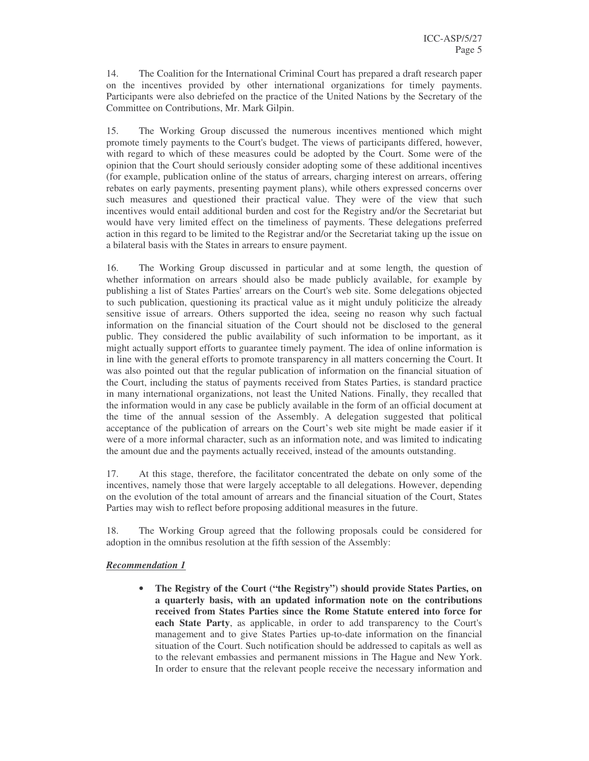14. The Coalition for the International Criminal Court has prepared a draft research paper on the incentives provided by other international organizations for timely payments. Participants were also debriefed on the practice of the United Nations by the Secretary of the Committee on Contributions, Mr. Mark Gilpin.

15. The Working Group discussed the numerous incentives mentioned which might promote timely payments to the Court's budget. The views of participants differed, however, with regard to which of these measures could be adopted by the Court. Some were of the opinion that the Court should seriously consider adopting some of these additional incentives (for example, publication online of the status of arrears, charging interest on arrears, offering rebates on early payments, presenting payment plans), while others expressed concerns over such measures and questioned their practical value. They were of the view that such incentives would entail additional burden and cost for the Registry and/or the Secretariat but would have very limited effect on the timeliness of payments. These delegations preferred action in this regard to be limited to the Registrar and/or the Secretariat taking up the issue on a bilateral basis with the States in arrears to ensure payment.

16. The Working Group discussed in particular and at some length, the question of whether information on arrears should also be made publicly available, for example by publishing a list of States Parties' arrears on the Court's web site. Some delegations objected to such publication, questioning its practical value as it might unduly politicize the already sensitive issue of arrears. Others supported the idea, seeing no reason why such factual information on the financial situation of the Court should not be disclosed to the general public. They considered the public availability of such information to be important, as it might actually support efforts to guarantee timely payment. The idea of online information is in line with the general efforts to promote transparency in all matters concerning the Court. It was also pointed out that the regular publication of information on the financial situation of the Court, including the status of payments received from States Parties, is standard practice in many international organizations, not least the United Nations. Finally, they recalled that the information would in any case be publicly available in the form of an official document at the time of the annual session of the Assembly. A delegation suggested that political acceptance of the publication of arrears on the Court's web site might be made easier if it were of a more informal character, such as an information note, and was limited to indicating the amount due and the payments actually received, instead of the amounts outstanding.

17. At this stage, therefore, the facilitator concentrated the debate on only some of the incentives, namely those that were largely acceptable to all delegations. However, depending on the evolution of the total amount of arrears and the financial situation of the Court, States Parties may wish to reflect before proposing additional measures in the future.

18. The Working Group agreed that the following proposals could be considered for adoption in the omnibus resolution at the fifth session of the Assembly:

# *Recommendation 1*

• **The Registry of the Court ("the Registry") should provide States Parties, on a quarterly basis, with an updated information note on the contributions received from States Parties since the Rome Statute entered into force for each State Party**, as applicable, in order to add transparency to the Court's management and to give States Parties up-to-date information on the financial situation of the Court. Such notification should be addressed to capitals as well as to the relevant embassies and permanent missions in The Hague and New York. In order to ensure that the relevant people receive the necessary information and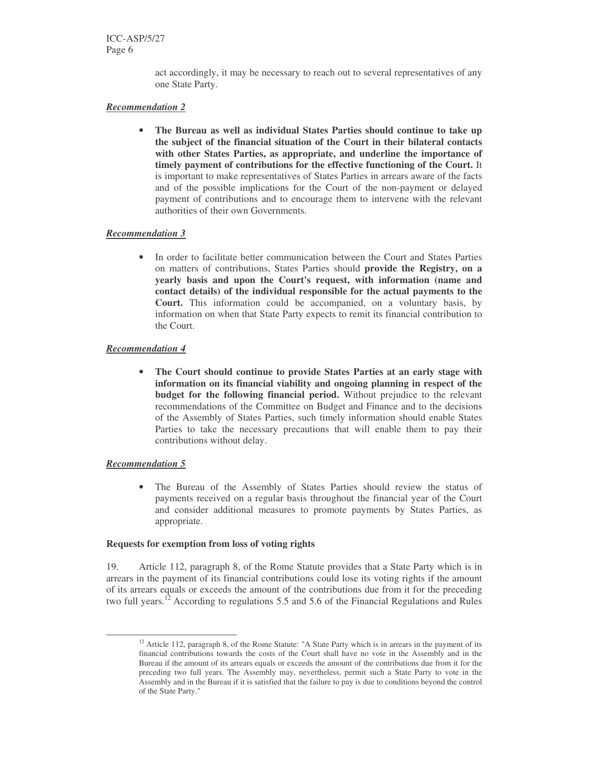act accordingly, it may be necessary to reach out to several representatives of any one State Party.

#### *Recommendation 2*

• **The Bureau as well as individual States Parties should continue to take up the subject of the financial situation of the Court in their bilateral contacts with other States Parties, as appropriate, and underline the importance of timely payment of contributions for the effective functioning of the Court.** It is important to make representatives of States Parties in arrears aware of the facts and of the possible implications for the Court of the non-payment or delayed payment of contributions and to encourage them to intervene with the relevant authorities of their own Governments.

#### *Recommendation 3*

• In order to facilitate better communication between the Court and States Parties on matters of contributions, States Parties should **provide the Registry, on a yearly basis and upon the Court's request, with information (name and contact details) of the individual responsible for the actual payments to the Court.** This information could be accompanied, on a voluntary basis, by information on when that State Party expects to remit its financial contribution to the Court.

### *Recommendation 4*

• **The Court should continue to provide States Parties at an early stage with information on its financial viability and ongoing planning in respect of the budget for the following financial period.** Without prejudice to the relevant recommendations of the Committee on Budget and Finance and to the decisions of the Assembly of States Parties, such timely information should enable States Parties to take the necessary precautions that will enable them to pay their contributions without delay.

#### *Recommendation 5*

• The Bureau of the Assembly of States Parties should review the status of payments received on a regular basis throughout the financial year of the Court and consider additional measures to promote payments by States Parties, as appropriate.

#### **Requests for exemption from loss of voting rights**

19. Article 112, paragraph 8, of the Rome Statute provides that a State Party which is in arrears in the payment of its financial contributions could lose its voting rights if the amount of its arrears equals or exceeds the amount of the contributions due from it for the preceding two full years.<sup>12</sup> According to regulations 5.5 and 5.6 of the Financial Regulations and Rules

<sup>&</sup>lt;sup>12</sup> Article 112, paragraph 8, of the Rome Statute: "A State Party which is in arrears in the payment of its financial contributions towards the costs of the Court shall have no vote in the Assembly and in the Bureau if the amount of its arrears equals or exceeds the amount of the contributions due from it for the preceding two full years. The Assembly may, nevertheless, permit such a State Party to vote in the Assembly and in the Bureau if it is satisfied that the failure to pay is due to conditions beyond the control of the State Party."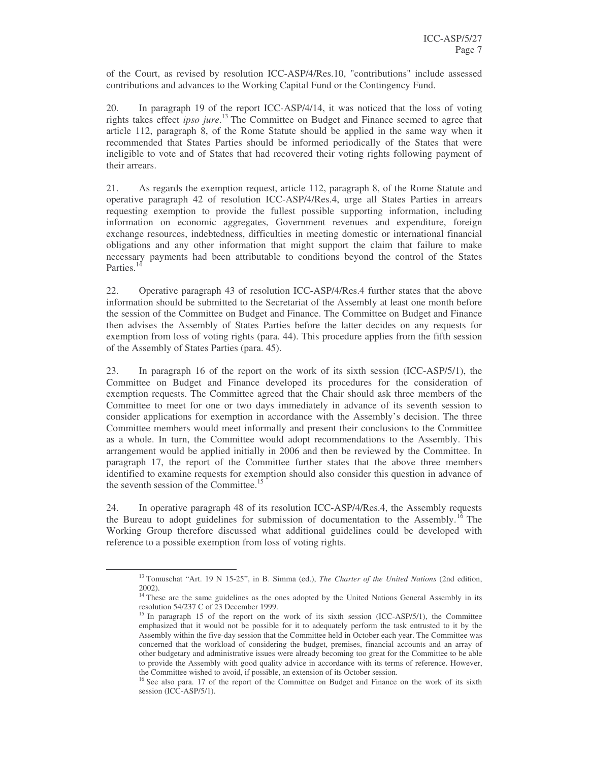of the Court, as revised by resolution ICC-ASP/4/Res.10, "contributions" include assessed contributions and advances to the Working Capital Fund or the Contingency Fund.

20. In paragraph 19 of the report ICC-ASP/4/14, it was noticed that the loss of voting rights takes effect *ipso jure*. <sup>13</sup> The Committee on Budget and Finance seemed to agree that article 112, paragraph 8, of the Rome Statute should be applied in the same way when it recommended that States Parties should be informed periodically of the States that were ineligible to vote and of States that had recovered their voting rights following payment of their arrears.

21. As regards the exemption request, article 112, paragraph 8, of the Rome Statute and operative paragraph 42 of resolution ICC-ASP/4/Res.4, urge all States Parties in arrears requesting exemption to provide the fullest possible supporting information, including information on economic aggregates, Government revenues and expenditure, foreign exchange resources, indebtedness, difficulties in meeting domestic or international financial obligations and any other information that might support the claim that failure to make necessary payments had been attributable to conditions beyond the control of the States Parties.<sup>14</sup>

22. Operative paragraph 43 of resolution ICC-ASP/4/Res.4 further states that the above information should be submitted to the Secretariat of the Assembly at least one month before the session of the Committee on Budget and Finance. The Committee on Budget and Finance then advises the Assembly of States Parties before the latter decides on any requests for exemption from loss of voting rights (para. 44). This procedure applies from the fifth session of the Assembly of States Parties (para. 45).

23. In paragraph 16 of the report on the work of its sixth session (ICC-ASP/5/1), the Committee on Budget and Finance developed its procedures for the consideration of exemption requests. The Committee agreed that the Chair should ask three members of the Committee to meet for one or two days immediately in advance of its seventh session to consider applications for exemption in accordance with the Assembly's decision. The three Committee members would meet informally and present their conclusions to the Committee as a whole. In turn, the Committee would adopt recommendations to the Assembly. This arrangement would be applied initially in 2006 and then be reviewed by the Committee. In paragraph 17, the report of the Committee further states that the above three members identified to examine requests for exemption should also consider this question in advance of the seventh session of the Committee. 15

24. In operative paragraph 48 of its resolution ICC-ASP/4/Res.4, the Assembly requests the Bureau to adopt guidelines for submission of documentation to the Assembly.<sup>16</sup> The Working Group therefore discussed what additional guidelines could be developed with reference to a possible exemption from loss of voting rights.

<sup>13</sup> Tomuschat "Art. 19 N 15-25", in B. Simma (ed.), *The Charter of the United Nations* (2nd edition, 2002).

<sup>&</sup>lt;sup>14</sup> These are the same guidelines as the ones adopted by the United Nations General Assembly in its resolution 54/237 C of 23 December 1999.

<sup>&</sup>lt;sup>15</sup> In paragraph 15 of the report on the work of its sixth session (ICC-ASP/5/1), the Committee emphasized that it would not be possible for it to adequately perform the task entrusted to it by the Assembly within the five-day session that the Committee held in October each year. The Committee was concerned that the workload of considering the budget, premises, financial accounts and an array of other budgetary and administrative issues were already becoming too great for the Committee to be able to provide the Assembly with good quality advice in accordance with its terms of reference. However, the Committee wished to avoid, if possible, an extension of its October session.

<sup>&</sup>lt;sup>16</sup> See also para. 17 of the report of the Committee on Budget and Finance on the work of its sixth session (ICC-ASP/5/1).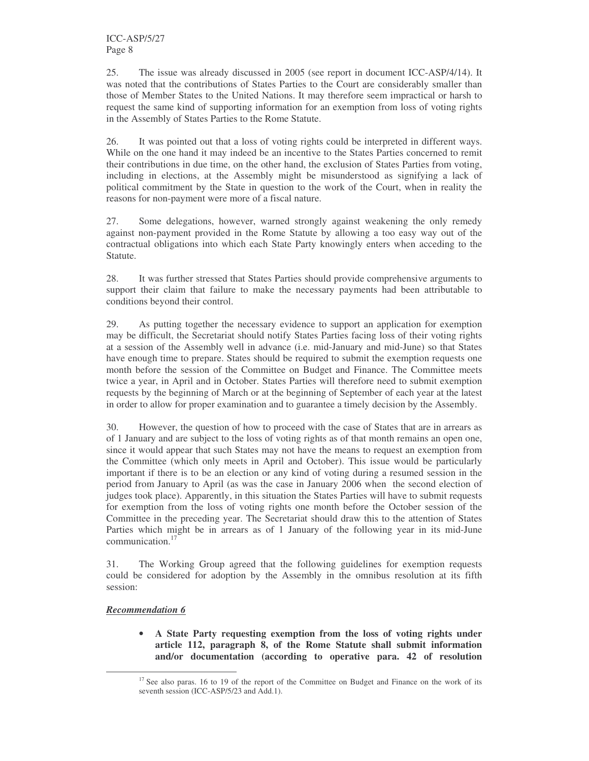25. The issue was already discussed in 2005 (see report in document ICC-ASP/4/14). It was noted that the contributions of States Parties to the Court are considerably smaller than those of Member States to the United Nations. It may therefore seem impractical or harsh to request the same kind of supporting information for an exemption from loss of voting rights in the Assembly of States Parties to the Rome Statute.

26. It was pointed out that a loss of voting rights could be interpreted in different ways. While on the one hand it may indeed be an incentive to the States Parties concerned to remit their contributions in due time, on the other hand, the exclusion of States Parties from voting, including in elections, at the Assembly might be misunderstood as signifying a lack of political commitment by the State in question to the work of the Court, when in reality the reasons for non-payment were more of a fiscal nature.

27. Some delegations, however, warned strongly against weakening the only remedy against non-payment provided in the Rome Statute by allowing a too easy way out of the contractual obligations into which each State Party knowingly enters when acceding to the Statute.

28. It was further stressed that States Parties should provide comprehensive arguments to support their claim that failure to make the necessary payments had been attributable to conditions beyond their control.

29. As putting together the necessary evidence to support an application for exemption may be difficult, the Secretariat should notify States Parties facing loss of their voting rights at a session of the Assembly well in advance (i.e. mid-January and mid-June) so that States have enough time to prepare. States should be required to submit the exemption requests one month before the session of the Committee on Budget and Finance. The Committee meets twice a year, in April and in October. States Parties will therefore need to submit exemption requests by the beginning of March or at the beginning of September of each year at the latest in order to allow for proper examination and to guarantee a timely decision by the Assembly.

30. However, the question of how to proceed with the case of States that are in arrears as of 1 January and are subject to the loss of voting rights as of that month remains an open one, since it would appear that such States may not have the means to request an exemption from the Committee (which only meets in April and October). This issue would be particularly important if there is to be an election or any kind of voting during a resumed session in the period from January to April (as was the case in January 2006 when the second election of judges took place). Apparently, in this situation the States Parties will have to submit requests for exemption from the loss of voting rights one month before the October session of the Committee in the preceding year. The Secretariat should draw this to the attention of States Parties which might be in arrears as of 1 January of the following year in its mid-June communication. 17

31. The Working Group agreed that the following guidelines for exemption requests could be considered for adoption by the Assembly in the omnibus resolution at its fifth session:

# *Recommendation 6*

• **A State Party requesting exemption from the loss of voting rights under article 112, paragraph 8, of the Rome Statute shall submit information and/or documentation (according to operative para. 42 of resolution**

<sup>&</sup>lt;sup>17</sup> See also paras. 16 to 19 of the report of the Committee on Budget and Finance on the work of its seventh session (ICC-ASP/5/23 and Add.1).